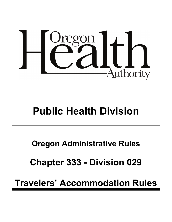

# **Public Health Division**

**Oregon Administrative Rules**

**Chapter 333 - Division 029**

**Travelers' Accommodation Rules**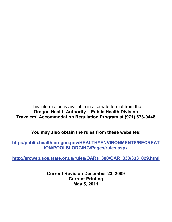This information is available in alternate format from the **Oregon Health Authority – Public Health Division Travelers' Accommodation Regulation Program at (971) 673-0448**

**You may also obtain the rules from these websites:**

**[http://public.health.oregon.gov/HEALTHYENVIRONMENTS/RECREAT](http://public.health.oregon.gov/HEALTHYENVIRONMENTS/RECREATION/POOLSLODGING/Pages/rules.aspx) [ION/POOLSLODGING/Pages/rules.aspx](http://public.health.oregon.gov/HEALTHYENVIRONMENTS/RECREATION/POOLSLODGING/Pages/rules.aspx)**

**[http://arcweb.sos.state.or.us/rules/OARs\\_300/OAR\\_333/333\\_029.html](http://arcweb.sos.state.or.us/rules/OARs_300/OAR_333/333_029.html)**

**Current Revision December 23, 2009 Current Printing May 5, 2011**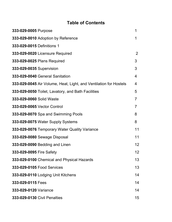## **Table of Contents**

| 333-029-0005 Purpose                                              | 1              |
|-------------------------------------------------------------------|----------------|
| 333-029-0010 Adoption by Reference                                | 1              |
| 333-029-0015 Definitions 1                                        |                |
| 333-029-0020 Licensure Required                                   | 2              |
| 333-029-0025 Plans Required                                       | 3              |
| 333-029-0035 Supervision                                          | 3              |
| 333-029-0040 General Sanitation                                   | 4              |
| 333-029-0045 Air Volume, Heat, Light, and Ventilation for Hostels | $\overline{4}$ |
| 333-029-0050 Toilet, Lavatory, and Bath Facilities                | 5              |
| 333-029-0060 Solid Waste                                          | $\overline{7}$ |
| 333-029-0065 Vector Control                                       | $\overline{7}$ |
| 333-029-0070 Spa and Swimming Pools                               | 8              |
| 333-029-0075 Water Supply Systems                                 | 8              |
| 333-029-0076 Temporary Water Quality Variance                     | 11             |
| 333-029-0080 Sewage Disposal                                      | 11             |
| 333-029-0090 Bedding and Linen                                    | 12             |
| 333-029-0095 Fire Safety                                          | 12             |
| 333-029-0100 Chemical and Physical Hazards                        | 13             |
| 333-029-0105 Food Services                                        | 13             |
| 333-029-0110 Lodging Unit Kitchens                                | 14             |
| 333-029-0115 Fees                                                 | 14             |
| 333-029-0120 Variance                                             | 14             |
| 333-029-0130 Civil Penalties                                      | 15             |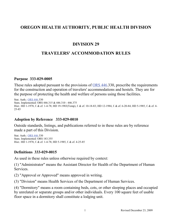## **OREGON HEALTH AUTHORITY, PUBLIC HEALTH DIVISION**

## **DIVISION 29**

## **TRAVELERS' ACCOMMODATION RULES**

#### **Purpose 333-029-0005**

These rules adopted pursuant to the provisions of [ORS 446.](http://landru.leg.state.or.us/ors/446.html)330, prescribe the requirements for the construction and operation of travelers' accommodations and hostels. They are for the purpose of protecting the health and welfare of persons using those facilities.

Stat. Auth.[: ORS 446.](http://landru.leg.state.or.us/ors/446.html)330 Stats. Implemented: ORS 446.315 & 446.310 - 446.375 Hist.: HD 1-1978, f. & ef. 1-4-78; HD 19-1983(Temp), f. & ef. 10-18-83; HD 12-1984, f. & ef. 6-20-84; HD 5-1985, f. & ef. 4- 25-85

#### **Adoption by Reference 333-029-0010**

Outside standards, listings, and publications referred to in these rules are by reference made a part of this Division.

Stat. Auth.[: ORS 446.](http://landru.leg.state.or.us/ors/446.html)330 Stats. Implemented: ORS 183.355 Hist.: HD 1-1978, f. & ef. 1-4-78; HD 5-1985, f. & ef. 4-25-85

#### **Definitions 333-029-0015**

As used in these rules unless otherwise required by context:

(1) "Administrator" means the Assistant Director for Health of the Department of Human Services.

(2) "Approval or Approved" means approved in writing.

(3) "Division" means Health Services of the Department of Human Services.

(4) "Dormitory" means a room containing beds, cots, or other sleeping places and occupied by unrelated or separate groups and/or other individuals. Every 100 square feet of usable floor space in a dormitory shall constitute a lodging unit.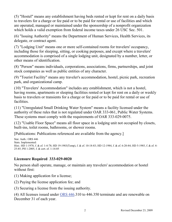(5) "Hostel" means any establishment having beds rented or kept for rent on a daily basis to travelers for a charge or fee paid or to be paid for rental or use of facilities and which are operated, managed or maintained under the sponsorship of a nonprofit organization which holds a valid exemption from federal income taxes under 26 USC Sec. 501.

(6) "Issuing Authority" means the Department of Human Services, Health Services, its delegate, or contract agent.

(7) "Lodging Unit" means one or more self-contained rooms for travelers' occupancy, including those for sleeping, sitting, or cooking purposes, and except where a travelers' accommodation is comprised of a single lodging unit, designated by a number, letter, or other means of identification.

(8) "Person" means individuals, corporations, associations, firms, partnerships, and joint stock companies as well as public entities of any character.

(9) "Tourist Facility" means any traveler's accommodation, hostel, picnic park, recreation park, and organizational camp.

(10) "Travelers' Accommodation" includes any establishment, which is not a hostel, having rooms, apartments or sleeping facilities rented or kept for rent on a daily or weekly basis to travelers or transients for a charge or fee paid or to be paid for rental or use of facilities.

(11) "Unregulated Small Drinking Water System" means a facility licensed under the authority of these rules that is not regulated under OAR 333-061, Public Water Systems. These systems must comply with the requirements of OAR 333-029-0075.

(12) "Usable Floor Space" means all floor space in a lodging unit not occupied by closets, built-ins, toilet rooms, bathrooms, or shower rooms.

[Publications: Publications referenced are available from the agency.]

Stat. Auth.: ORS 446 Stats. Implemented: Hist.: HD 1-1978, f. & ef. 1-4-78; HD 19-1983(Temp), f. & ef. 10-18-83; HD 12-1984, f. & ef. 6-20-84; HD 5-1985, f. & ef. 4- 25-85; PH 1-2005, f. & cert. ef. 1-14-05

#### **Licensure Required 333-029-0020**

No person shall operate, manage, or maintain any travelers' accommodation or hostel without first:

(1) Making application for a license;

(2) Paying the license application fee; and

(3) Securing a license from the issuing authority.

(4) All licenses issued under [ORS 446.](http://landru.leg.state.or.us/ors/446.html)310 to 446.350 terminate and are renewable on December 31 of each year.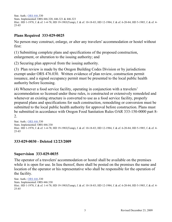Stat. Auth.[: ORS 446.](http://landru.leg.state.or.us/ors/446.html)330 Stats. Implemented: ORS 446.320, 446.321 & 446.323 Hist.: HD 1-1978, f. & ef. 1-4-78; HD 19-1983(Temp), f. & ef. 10-18-83; HD 12-1984, f. & ef. 6-20-84; HD 5-1985, f. & ef. 4- 25-85

## **Plans Required 333-029-0025**

No person may construct, enlarge, or alter any travelers' accommodation or hostel without first:

(1) Submitting complete plans and specifications of the proposed construction, enlargement, or alteration to the issuing authority; and

(2) Securing plan approval from the issuing authority.

(3) Plan review is made by the Oregon Building Codes Division or by jurisdictions exempt under ORS 476.030. Written evidence of plan review, construction permit issuance, and a signed occupancy permit must be presented to the local public health authority before licensing.

(4) Whenever a food service facility, operating in conjunction with a travelers' accommodation so licensed under these rules, is constructed or extensively remodeled and whenever an existing structure is converted to use as a food service facility, properly prepared plans and specifications for such construction, remodeling or conversion must be submitted to the local public health authority for approval before construction. Plans must be submitted in accordance with Oregon Food Sanitation Rules OAR 333-150-0000 part 8- 2.

```
Stat. Auth.: ORS 446.330
Stats. Implemented: ORS 446.330
Hist.: HD 1-1978, f. & ef. 1-4-78; HD 19-1983(Temp), f. & ef. 10-18-83; HD 12-1984, f. & ef. 6-20-84; HD 5-1985, f. & ef. 4-
25-85
```
#### **333-029-0030 - Deleted 12/23/2009**

#### **Supervision 333-029-0035**

The operator of a travelers' accommodation or hostel shall be available on the premises while it is open for use. In lieu thereof, there shall be posted on the premises the name and location of the operator or his representative who shall be responsible for the operation of the facility.

```
Stat. Auth.: ORS 446.330
Stats. Implemented: ORS 446.330
Hist.: HD 1-1978, f. & ef. 1-4-78; HD 19-1983(Temp), f. & ef. 10-18-83; HD 12-1984, f. & ef. 6-20-84; HD 5-1985, f. & ef. 4-
25-85
```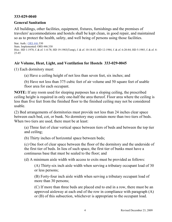#### **333-029-0040**

#### **General Sanitation**

All buildings, other facilities, equipment, fixtures, furnishings and the premises of travelers' accommodations and hostels shall be kept clean, in good repair, and maintained so as to protect the health, safety, and well being of persons using those facilities.

Stat. Auth.[: ORS 446.](http://landru.leg.state.or.us/ors/446.html)330 Stats. Implemented: ORS 446.330 Hist.: HD 1-1978, f. & ef. 1-4-78; HD 19-1983(Temp), f. & ef. 10-18-83; HD 12-1984, f. & ef. 6-20-84; HD 5-1985, f. & ef. 4- 25-85

#### **Air Volume, Heat, Light, and Ventilation for Hostels 333-029-0045**

(1) Each dormitory must:

(a) Have a ceiling height of not less than seven feet, six inches; and

(b) Have not less than 375 cubic feet of air volume and 50 square feet of usable floor area for each occupant.

**NOTE:** If any room used for sleeping purposes has a sloping ceiling, the prescribed ceiling height is required in only one-half the area thereof. Floor area where the ceiling is less than five feet from the finished floor to the finished ceiling may not be considered usable.

(2) Bed arrangements of dormitories must provide not less than 24 inches clear space between each bed, cot, or bunk. No dormitory may contain more than two tiers of beds. When two tiers are used, there must be at least:

(a) Three feet of clear vertical space between tiers of beds and between the top tier and ceiling;

(b) Thirty inches of horizontal space between beds;

(c) One foot of clear space between the floor of the dormitory and the underside of the first tier of beds. In lieu of such space, the first tier of bunks must have a continuous base that must be sealed to the floor; and

(d) A minimum aisle width with access to exits must be provided as follows:

(A) Thirty-six inch aisle width when serving a tributary occupant load of 30 or less persons;

(B) Forty-four inch aisle width when serving a tributary occupant load of more than 30 persons;

(C) If more than three beds are placed end to end in a row, there must be an approved aisleway at each end of the row in compliance with paragraph (A) or (B) of this subsection, whichever is appropriate to the occupant load.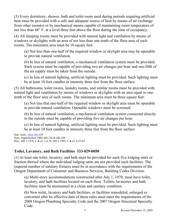(3) Every dormitory, shower, bath and toilet room used during periods requiring artificial heat must be provided with a safe and adequate source of heat by means of air exchange from other room(s) or by mechanical means capable of maintaining room temperature of not less than 68° F. at a level three feet above the floor during the time of occupancy.

(4) All sleeping rooms must be provided with natural light and ventilation by means of windows or skylights with an area of not less than one-tenth of the floor area of such rooms. The minimum area must be 10 square feet:

(a) Not less than one-half of the required window or skylight area may be openable to provide natural ventilation.

(b) In lieu of natural ventilation, a mechanical ventilation system must be provided. Such system must be capable of providing two air changes per hour and one-fifth of the air supply must be taken from the outside.

(c) In lieu of natural lighting, artificial lighting must be provided. Such lighting must be at least 10 foot candles in intensity three feet from the floor surface.

(5) All bathrooms, toilet rooms, laundry rooms, and similar rooms must be provided with natural light and ventilation by means of windows or skylights with an area equal to onetenth of the floor area of such rooms. The minimum area must be three square feet:

(a) Not less that one-half of the required window or skylight area must be openable to provide natural ventilation. Openable windows must be screened.

(b) In lieu of natural ventilation, a mechanical ventilation system connected directly to the outside must be capable of providing five air changes per hour.

(c) In lieu of natural lighting, artificial lighting must be provided. Such lighting must be at least 10 foot candles in intensity three feet from the floor surface

Stat. Auth.[: ORS 446.](http://landru.leg.state.or.us/ors/446.html)330 Stats. Implemented: ORS 446.330 & 446.430 Hist.: HD 1-1978, f. & ef. 1-4-78; HD 5-1985, f. & ef. 4-25-85

## **Toilet, Lavatory, and Bath Facilities 333-029-0050**

(1) At least one toilet, lavatory, and bath must be provided for each five lodging units or fraction thereof where the individual lodging units are not provided such facilities. The required number of sanitary fixtures must be in accordance with the requirements of the Oregon Department of Consumer and Business Services, Building Codes Division.

(a) Multi-story accommodations constructed after July 1, 1970, must have toilet, lavatory, and bath facilities located on each floor. Toilets, lavatories and bath facilities must be maintained in a clean and sanitary condition.

(b) New toilet, lavatory and bath facilities, or facilities remodeled, enlarged or converted after he effective date of these rules must meet the requirements of the 2008 Oregon Plumbing Specialty Code and the 2007 Oregon Structural Specialty Code.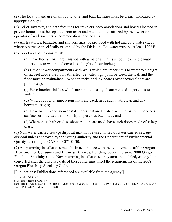(2) The location and use of all public toilet and bath facilities must be clearly indicated by appropriate signs.

(3) Toilet, lavatory, and bath facilities for travelers' accommodations and hostels located in private homes must be separate from toilet and bath facilities utilized by the owner or operator of said travelers' accommodations and hostels.

(4) All lavatories, bathtubs, and showers must be provided with hot and cold water except where otherwise specifically exempted by the Division. Hot water must be at least 120° F.

(5) Toilet and bathrooms must:

(a) Have floors which are finished with a material that is smooth, easily cleanable, impervious to water, and coved to a height of four inches;

(b) Have shower compartments with walls which are impervious to water to a height of six feet above the floor. An effective water-tight joint between the wall and the floor must be maintained. (Wooden racks or duck boards over shower floors are prohibited);

(c) Have interior finishes which are smooth, easily cleanable, and impervious to water;

(d) Where rubber or impervious mats are used, have such mats clean and dry between usages;

(e) Have bathtub and shower stall floors that are finished with non-slip, impervious surfaces or provided with non-slip impervious bath mats; and

(f) Where glass bath or glass shower doors are used, have such doors made of safety glass.

(6) Non-water carried sewage disposal may not be used in lieu of water carried sewage disposal unless approved by the issuing authority and the Department of Environmental Quality according to OAR 340-071-0130.

(7) All plumbing installations must be in accordance with the requirements of the Oregon Department of Consumer and Business Services, Building Codes Division, 2008 Oregon Plumbing Specialty Code. New plumbing installations, or systems remodeled, enlarged or converted after the effective date of these rules must meet the requirements of the 2008 Oregon Plumbing Specialty Code.

[Publications: Publications referenced are available from the agency.]

Stat. Auth.: ORS 446 Stats. Implemented: ORS 446 Hist.: HD 1-1978, f. & ef. 1-4-78; HD 19-1983(Temp), f. & ef. 10-18-83; HD 12-1984, f. & ef. 6-20-84; HD 5-1985, f. & ef. 4- 25-85; PH 1-2005, f. & cert. ef. 1-14-05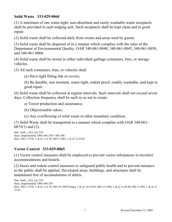#### **Solid Waste 333-029-0060**

(1) A minimum of one water-tight, non-absorbent and easily washable waste receptacle shall be provided in each lodging unit. Such receptacle shall be kept clean and in good repair.

(2) Solid waste shall be collected daily from rooms and areas used by guests.

(3) Solid waste shall be disposed of in a manner which complies with the rules of the Department of Environmental Quality, OAR 340-061-0040, 340-061-0045, 340-061-0050, and 340-061-0060.

(4) Solid waste shall be stored in either individual garbage containers, bins, or storage vehicles.

(5) All such containers, bins, or vehicles shall:

(a) Have tight fitting lids or covers;

(b) Be durable, rust resistant, water-tight, rodent proof, readily washable, and kept in good repair.

(6) Solid waste shall be collected at regular intervals. Such intervals shall not exceed seven days. Collection frequency shall be such so as not to create:

a) Vector production and sustenance;

(b) Objectionable odors;

(c) Any overflowing of solid waste or other insanitary condition.

(7) Solid Waste shall be transported in a manner which complies with OAR 340-061- 0075(1) and (2).

Stat. Auth.[: ORS 446.](http://landru.leg.state.or.us/ors/446.html)330 Stats. Implemented: ORS 446.330 \* 446.340 Hist.: HD 1-1978, f. & ef. 1-4-78; HD 5-1985, f. & ef. 4-25-85

#### **Vector Control 333-029-0065**

(1) Vector control measures shall be employed to prevent vector infestations in travelers' accommodations and hostels.

(2) Insect and rodent control measures to safeguard public health and to prevent nuisance to the public shall be applied. Developed areas, buildings, and structures shall be maintained free of accumulations of debris.

Stat. Auth.[: ORS 446.](http://landru.leg.state.or.us/ors/446.html)330 Stats. Implemented: ORS 446.330 Hist.: HD 1-1978, f. & ef. 1-4-78; HD 19-1983(Temp), f. & ef. 10-18-83; HD 12-1984, f. & ef. 6-20-84; HD 5-1985, f. & ef. 4- 25-85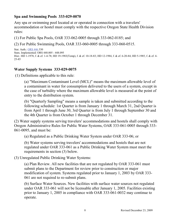#### **Spa and Swimming Pools 333-029-0070**

Any spa or swimming pool located at or operated in connection with a travelers' accommodation or hostel must comply with the respective Oregon State Health Division rules:

(1) For Public Spa Pools, OAR 333-062-0005 through 333-062-0185; and

(2) For Public Swimming Pools, OAR 333-060-0005 through 333-060-0515.

```
Stat. Auth.: ORS 446.330
Stats. Implemented: ORS 448.005 - 448.095
Hist.: HD 1-1978, f. & ef. 1-4-78; HD 19-1983(Temp), f. & ef. 10-18-83; HD 12-1984, f. & ef. 6-20-84; HD 5-1985, f. & ef. 4-
25-85
```
#### **Water Supply Systems 333-029-0075**

(1) Definitions applicable to this rule:

(a) "Maximum Contaminant Level (MCL)" means the maximum allowable level of a contaminant in water for consumption delivered to the users of a system, except in the case of turbidity where the maximum allowable level is measured at the point of entry to the distribution system.

(b) "Quarterly Sampling" means a sample is taken and submitted according to the following schedule: 1st Quarter is from January 1 through March 31, 2nd Quarter is from April 1 through June 30, 3rd Quarter is from July 1 through September 30 and the 4th Quarter is from October 1 through December 31.

(2) Water supply systems serving travelers' accommodations and hostels shall comply with Oregon Administrative Rules for Public Water Systems, OAR 333-061-0005 through 333- 061-0095, and must be:

(a) Regulated as a Public Drinking Water System under OAR 333-06; or

(b) Water systems serving travelers' accommodations and hostels that are not regulated under OAR 333-061 as a Public Drinking Water System must meet the requirements in section (3) below.

(3) Unregulated Public Drinking Water Systems:

(a) Plan Review. All new facilities that are not regulated by OAR 333-061 must submit plans to the Department for review prior to construction or major modification of system. Systems regulated prior to January 1, 2003 by OAR 333- 061 are not required to re-submit plans.

(b) Surface Water Sources. New facilities with surface water sources not regulated under OAR 333-061 will not be licensable after January 1, 2005. Facilities existing prior to January 1, 2005 in compliance with OAR 333-061-0032 may continue to operate.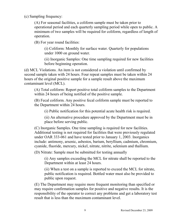(c) Sampling frequency:

(A) For seasonal facilities, a coliform sample must be taken prior to operational period and each quarterly sampling period while open to public. A minimum of two samples will be required for coliform, regardless of length of operation.

(B) For year round facilities:

(i) Coliform: Monthly for surface water. Quarterly for populations under 1000 on ground water.

(ii) Inorganic Samples: One time sampling required for new facilities before beginning operation.

(d) MCL Violations. An item is not considered a violation until confirmed by second sample taken with 24 hours. Four repeat samples must be taken within 24 hours of the original positive sample for a sample result above the maximum contaminant level (MCL).

(A) Total coliform: Report positive total coliform samples to the Department within 24 hours of being notified of the positive sample.

(B) Fecal coliform. Any positive fecal coliform sample must be reported to the Department within 24 hours.

(i) Public notification for this potential acute health risk is required.

(ii) An alternative procedure approved by the Department must be in place before serving public.

(C) Inorganic Samples. One time sampling is required for new facilities. Additional testing is not required for facilities that were previously regulated under OAR 333-061 and have tested prior to January 1, 2003. Inorganics include: antimony, arsenic, asbestos, barium, beryllium, cadmium, chromium, cyanide, fluoride, mercury, nickel, nitrate, nitrite, selenium and thallium.

(D) Nitrate: Sample must be submitted for testing annually

(i) Any samples exceeding the MCL for nitrate shall be reported to the Department within at least 24 hours.

(ii) When a test on a sample is reported to exceed the MCL for nitrate, public notification is required. Bottled water must also be provided to public upon request.

(E) The Department may require more frequent monitoring than specified or may require confirmation samples for positive and negative results. It is the responsibility of the operator to correct any problems and get a laboratory test result that is less than the maximum contaminant level.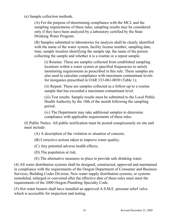(e) Sample collection methods.

(A) For the purpose of determining compliance with the MCL and the sampling requirements of these rules, sampling results may be considered only if they have been analyzed by a laboratory certified by the State Drinking Water Program.

(B) Samples submitted to laboratories for analysis shall be clearly identified with the name of the water system, facility license number, sampling date, time, sample location identifying the sample tap, the name of the person collecting the sample and whether it is a routine or a repeat sample.

(i) Routine: These are samples collected from established sampling locations within a water system at specified frequencies to satisfy monitoring requirements as prescribed in this rule. These samples are also used to calculate compliance with maximum contaminant levels for inorganics prescribed in OAR 333-061-0030 (Table 1);

(ii) Repeat: These are samples collected as a follow-up to a routine sample that has exceeded a maximum contaminant level.

(iii) Test results: Sample results must be submitted to the Local Public Health Authority by the 10th of the month following the sampling period.

(iv) The Department may take additional samples to determine compliance with applicable requirements of these rules.

(f) Public Notice. All public notification must be posted conspicuously on site and must include:

(A) A description of the violation or situation of concern;

(B) Corrective actions taken to improve water quality;

(C) Any potential adverse health effects;

(D) The population at risk;

(E) The alternative measures in place to provide safe drinking water.

(4) All water distribution systems shall be designed, constructed, approved and maintained in compliance with the requirements of the Oregon Department of Consumer and Business Services, Building Codes Division. New water supply distribution systems, or systems remodeled, enlarged or converted after the effective date of these rules must meet the requirements of the 2000 Oregon Plumbing Specialty Code.

(5) Hot water heaters shall have installed an approved A.S.M.E. pressure relief valve which is accessible for inspection and testing.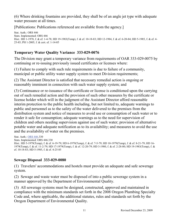(6) Where drinking fountains are provided, they shall be of an angle jet type with adequate water pressure at all times.

[Publications: Publications referenced are available from the agency.]

Stat. Auth.: ORS 446 Stats. Implemented: ORS 446 Hist.: HD 1-1978, f. & ef. 1-4-78; HD 19-1983(Temp), f. & ef. 10-18-83; HD 12-1984, f. & ef. 6-20-84; HD 5-1985, f. & ef. 4- 25-85; PH 1-2005, f. & cert. ef. 1-14-05

## **Temporary Water Quality Variance 333-029-0076**

The Division may grant a temporary variance from requirements of OAR 333-029-0075 by continuing or re-issuing previously issued certificates or licenses where:

(1) Failure to comply with such rule requirements is due to failure of a community, municipal or public utility water supply system to meet Division requirements;

(2) The Assistant Director is satisfied that necessary remedial action is ongoing or reasonably imminent in connection with such water supply system; and

(3) Continuance or re-issuance of the certificate or license is conditioned upon the carrying out of such remedial action and the provision of such other measures by the certificate or license holder which will in the judgment of the Assistant Director afford reasonable interim protection to the public health including, but not limited to, adequate warnings to public and personnel as to the safety of the water delivered to the premises from the distribution system and notice of measures to avoid use or consumption of such water or to render it safe for consumption; adequate warnings as to the need for supervision of children and others needing supervision against use of such water; provision of alternative potable water and adequate notification as to its availability; and measures to avoid the use and the availability of water on the premises.

Stat. Auth.[: ORS 446.](http://landru.leg.state.or.us/ors/446.html)330 Stats. Implemented: ORS 446.330 Hist.: HD 5-1979(Temp), f. & ef. 6-19-79; HD 6-1979(Temp), f. & ef. 7-5-79; HD 10-1979(Temp), f. & ef. 8-21-79; HD 16- 1979(Temp), f. & ef. 11-2-79; HD 17-1979(Temp), f. & ef. 12-20-79; HD 3-1980, f. & ef. 2-28-80; HD 19-1983(Temp), f. & ef. 10-18-83; HD 5-1985, f. & ef. 4-25-85

## **Sewage Disposal 333-029-0080**

(1) Travelers' accommodations and hostels must provide an adequate and safe sewerage system.

(2) Sewage and waste water must be disposed of into a public sewerage system in a manner approved by the Department of Environmental Quality.

(3) All sewerage systems must be designed, constructed, approved and maintained in compliance with the minimum standards set forth in the 2008 Oregon Plumbing Specialty Code and, where applicable, the additional statutes, rules and standards set forth by the Oregon Department of Environmental Quality.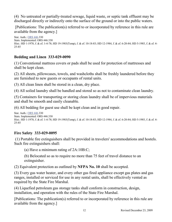(4) No untreated or partially-treated sewage, liquid waste, or septic tank effluent may be discharged directly or indirectly onto the surface of the ground or into the public waters.

[Publications: The publication(s) referred to or incorporated by reference in this rule are available from the agency.]

Stat. Auth.[: ORS 446.](http://landru.leg.state.or.us/ors/446.html)330 Stats. Implemented: ORS 446.330 Hist.: HD 1-1978, f. & ef. 1-4-78; HD 19-1983(Temp), f. & ef. 10-18-83; HD 12-1984, f. & ef. 6-20-84; HD 5-1985, f. & ef. 4- 25-85

#### **Bedding and Linen 333-029-0090**

(1) Conventional mattress covers or pads shall be used for protection of mattresses and shall be kept clean.

(2) All sheets, pillowcases, towels, and washcloths shall be freshly laundered before they are furnished to new guests or occupants of rental units.

(3) All clean linen shall be stored in a clean, dry place.

(4) All soiled laundry shall be handled and stored so as not to contaminate clean laundry.

(5) Containers for transporting or storing clean laundry shall be of impervious materials and shall be smooth and easily cleanable.

(6) All bedding for guest use shall be kept clean and in good repair.

```
Stat. Auth.: ORS 446.330
Stats. Implemented: ORS 446.330
Hist.: HD 1-1978, f. & ef. 1-4-78; HD 19-1983(Temp), f. & ef. 10-18-83; HD 12-1984, f. & ef. 6-20-84; HD 5-1985, f. & ef. 4-
25-85
```
#### **Fire Safety 333-029-0095**

(1) Portable fire extinguishers shall be provided in travelers' accommodations and hostels. Such fire extinguishers shall:

(a) Have a minimum rating of 2A:10B:C;

(b) Belocated so as to require no more than 75 feet of travel distance to an extinguisher.

(2) Equivalent protection as outlined by **NFPA No. 10** shall be accepted.

(3) Every gas water heater, and every other gas fired appliance except gas plates and gas ranges, installed or serviced for use in any rental units, shall be effectively vented as required by the State Fire Marshal.

(4) Liquefied petroleum gas storage tanks shall conform in construction, design, installation, and operation with the rules of the State Fire Marshal.

[Publications: The publication(s) referred to or incorporated by reference in this rule are available from the agency.]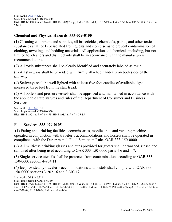Stat. Auth.[: ORS 446.](http://landru.leg.state.or.us/ors/446.html)330 Stats. Implemented: ORS 446.330 Hist.: HD 1-1978, f. & ef. 1-4-78; HD 19-1983(Temp), f. & ef. 10-18-83; HD 12-1984, f. & ef. 6-20-84; HD 5-1985, f. & ef. 4- 25-85

#### **Chemical and Physical Hazards 333-029-0100**

(1) Cleaning equipment and supplies, all insecticides, chemicals, paints, and other toxic substances shall be kept isolated from guests and stored so as to prevent contamination of clothing, toweling, and bedding materials. All applications of chemicals including, but not limited to, cleaners and disinfectants shall be in accordance with the manufacturers' recommendations.

(2) All toxic substances shall be clearly identified and accurately labeled as toxic.

(3) All stairways shall be provided with firmly attached handrails on both sides of the stairway.

(4) Stairways shall be well lighted with at least five foot candles of available light measured three feet from the stair tread.

(5) All boilers and pressure vessels shall be approved and maintained in accordance with the applicable state statutes and rules of the Department of Consumer and Business Services.

Stat. Auth.[: ORS 446.](http://landru.leg.state.or.us/ors/446.html)330 Stats. Implemented: ORS 446.330 Hist.: HD 1-1978, f. & ef. 1-4-78; HD 5-1985, f. & ef. 4-25-85

## **Food Services 333-029-0105**

(1) Eating and drinking facilities, commissaries, mobile units and vending machine operated in conjunction with traveler's accommodations and hostels shall be operated in compliance with the Department's Food Sanitation Rules OAR 333-150-0000.

(2) All multi-use drinking glasses and cups provided for guests shall be washed, rinsed and sanitized after being used according to OAR 333-150-0000 parts 4-6 and 4-7.

(3) Single service utensils shall be protected from contamination according to OAR 333- 150-0000 section 4-904.11.

(4) Ice provided by traveler's accommodations and hostels shall comply with OAR 333- 150-0000 sections 3-202.16 and 3-303.12.

Stat. Auth.: ORS 446.321 Stats. Implemented: ORS 446.330 Hist.: HD 1-1978, f. & ef. 1-4-78; HD 19-1983(Temp), f. & ef. 10-18-83; HD 12-1984, f. & ef. 6-20-84; HD 5-1985, f. & ef. 4- 25-8; HD 27-1994, f. 10-27-94, cert. ef. 12-31-94; OHD 11-2002, f. & cert. ef. 8-7-02; PH 5-2004(Temp), f. & cert. ef. 2-13-04 thru 7-30-04; PH 15-2004, f. & cert. ef. 4-9-04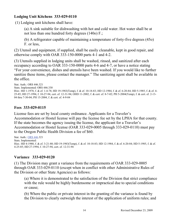#### **Lodging Unit Kitchens 333-029-0110**

(1) Lodging unit kitchens shall have:

(a) A sink suitable for dishwashing with hot and cold water. Hot water shall be at not less than one hundred forty degrees (140o) F.;

(b) A refrigerator capable of maintaining a temperature of forty-five degrees (45o) F. or less,

(2) Utensil and equipment, if supplied, shall be easily cleanable, kept in good repair, and otherwise comply with OAR 333-150-0000 parts 4-1 and 4-2.

(3) Utensils supplied in lodging units shall be washed, rinsed, and sanitized after each occupancy according to OAR 333-150-0000 parts 4-6 and 4-7, or have a notice stating "For your convenience, dishes and utensils have been washed. If you would like to further sanitize these items, please contact the manager." The sanitizing agent shall be available in the office.

Stat. Auth.: ORS 446.321 Stats. Implemented: ORS 446.330 Hist.: HD 1-1978, f. & ef. 1-4-78; HD 19-1983(Temp), f. & ef. 10-18-83; HD 12-1984, f. & ef. 6-20-84; HD 5-1985, f. & ef. 4- 25-85; HD 27-1994, f. 10-27-94, cert. ef. 12-31-94; OHD 11-2002, f. & cert. ef. 8-7-02; PH 5-2004(Temp), f. & cert. ef. 2-13- 04 thru 7-30-04; PH 15-2004, f. & cert. ef. 4-9-04

## **Fees 333-029-0115**

License fees are set by local county ordinance. Applicants for a Traveler's Accommodation or Hostel license will pay the license fee set by the LPHA for that county. If the state becomes the agency issuing the license, the applicant for a Traveler's Accommodation or Hostel license (OAR 333-029-0005 through 333-029-0110) must pay to the Oregon Public Health Division a fee of \$60.

Stat. Auth.[: ORS 446.](http://landru.leg.state.or.us/ors/446.html)321 Stats. Implemented: Hist.: HD 4-1980, f. & ef. 3-21-80; HD 19-1983(Temp), f. & ef. 10-18-83; HD 12-1984, f. & ef. 6-20-84; HD 5-1985, f. & ef. 4-25-85; HD 27-1994, f. 10-27-94, cert. ef. 12-31-94

## **Variance 333-029-0120**

(1) The Division may grant a variance from the requirements of OAR 333-029-0005 through OAR 333-029-0110 (except when in conflict with other Administrative Rules of the Division or other State Agencies) as follows:

(a) Where it is demonstrated to the satisfaction of the Division that strict compliance with the rule would be highly burdensome or impractical due to special conditions or cause;

(b) Where the public or private interest in the granting of the variance is found by the Division to clearly outweigh the interest of the application of uniform rules; and